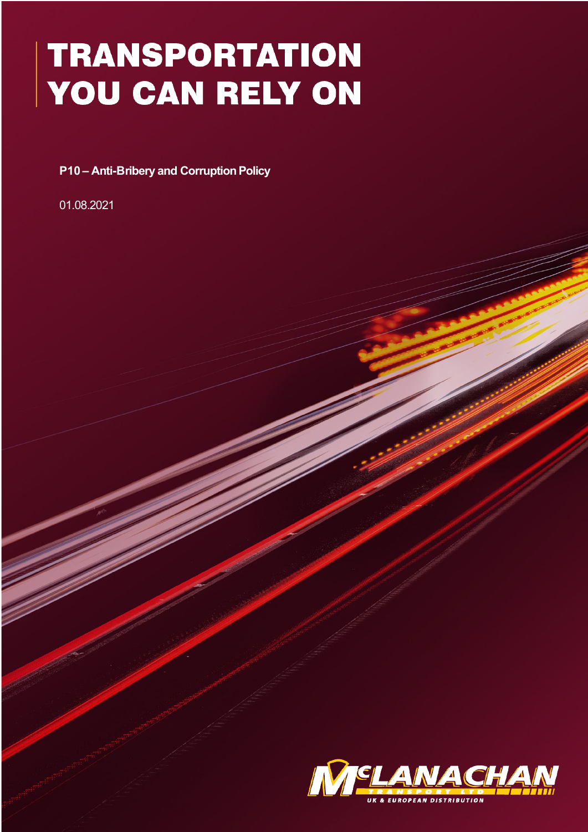# **TRANSPORTATION** YOU CAN RELY ON

**P10 – Anti-Bribery and Corruption Policy** 

01.08.2021

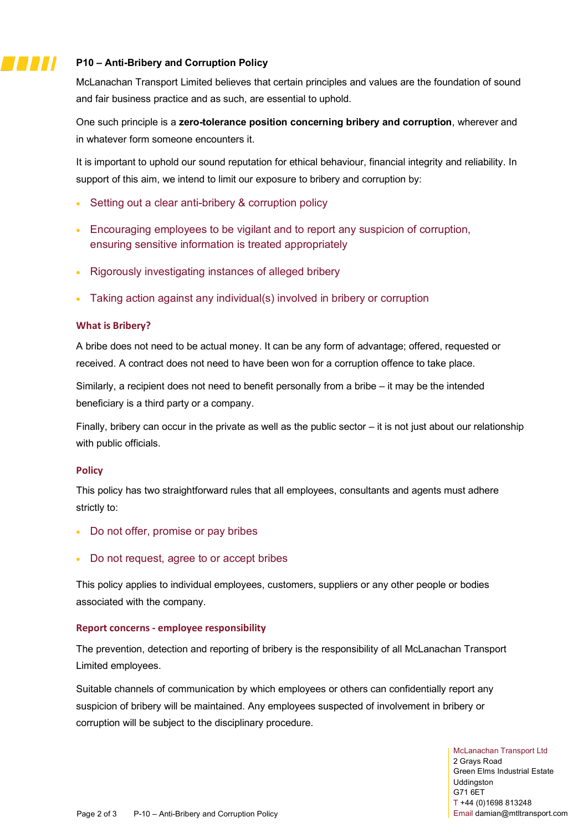# **P10 – Anti-Bribery and Corruption Policy**

McLanachan Transport Limited believes that certain principles and values are the foundation of sound and fair business practice and as such, are essential to uphold.

One such principle is a **zero-tolerance position concerning bribery and corruption**, wherever and in whatever form someone encounters it.

It is important to uphold our sound reputation for ethical behaviour, financial integrity and reliability. In support of this aim, we intend to limit our exposure to bribery and corruption by:

- Setting out a clear anti-bribery & corruption policy
- Encouraging employees to be vigilant and to report any suspicion of corruption, ensuring sensitive information is treated appropriately
- Rigorously investigating instances of alleged bribery
- Taking action against any individual(s) involved in bribery or corruption

## **What is Bribery?**

77 J J J

A bribe does not need to be actual money. It can be any form of advantage; offered, requested or received. A contract does not need to have been won for a corruption offence to take place.

Similarly, a recipient does not need to benefit personally from a bribe – it may be the intended beneficiary is a third party or a company.

Finally, bribery can occur in the private as well as the public sector – it is not just about our relationship with public officials.

### **Policy**

This policy has two straightforward rules that all employees, consultants and agents must adhere strictly to:

- Do not offer, promise or pay bribes
- Do not request, agree to or accept bribes

This policy applies to individual employees, customers, suppliers or any other people or bodies associated with the company.

### **Report concerns - employee responsibility**

The prevention, detection and reporting of bribery is the responsibility of all McLanachan Transport Limited employees.

Suitable channels of communication by which employees or others can confidentially report any suspicion of bribery will be maintained. Any employees suspected of involvement in bribery or corruption will be subject to the disciplinary procedure.

> McLanachan Transport Ltd 2 Grays Road Green Elms Industrial Estate Uddingston G71 6ET T +44 (0)1698 813248